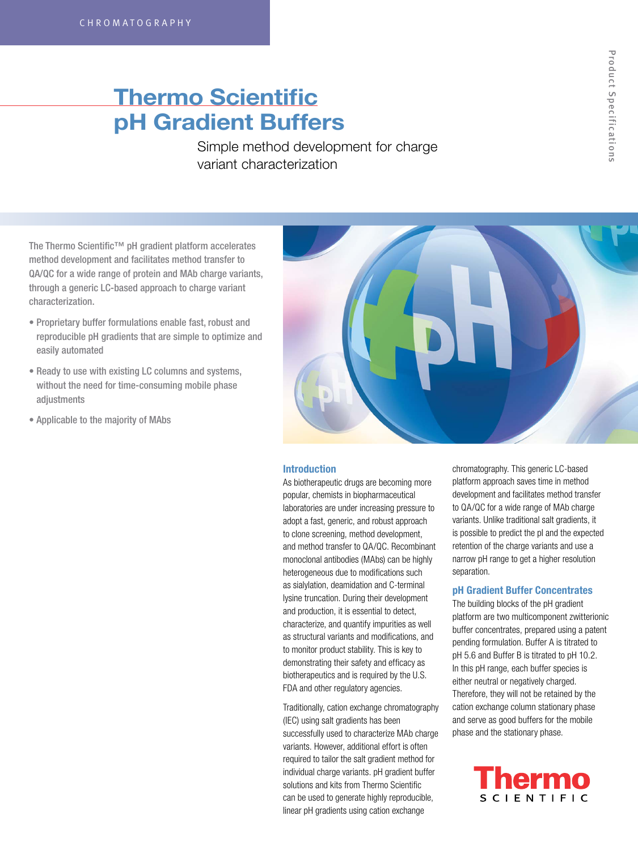# Thermo Scientific pH Gradient Buffers

Simple method development for charge variant characterization

The Thermo Scientific™ pH gradient platform accelerates method development and facilitates method transfer to QA/QC for a wide range of protein and MAb charge variants, through a generic LC-based approach to charge variant characterization.

- Proprietary buffer formulations enable fast, robust and reproducible pH gradients that are simple to optimize and easily automated
- Ready to use with existing LC columns and systems, without the need for time-consuming mobile phase adjustments
- Applicable to the majority of MAbs



### Introduction

As biotherapeutic drugs are becoming more popular, chemists in biopharmaceutical laboratories are under increasing pressure to adopt a fast, generic, and robust approach to clone screening, method development, and method transfer to QA/QC. Recombinant monoclonal antibodies (MAbs) can be highly heterogeneous due to modifications such as sialylation, deamidation and C-terminal lysine truncation. During their development and production, it is essential to detect, characterize, and quantify impurities as well as structural variants and modifications, and to monitor product stability. This is key to demonstrating their safety and efficacy as biotherapeutics and is required by the U.S. FDA and other regulatory agencies.

Traditionally, cation exchange chromatography (IEC) using salt gradients has been successfully used to characterize MAb charge variants. However, additional effort is often required to tailor the salt gradient method for individual charge variants. pH gradient buffer solutions and kits from Thermo Scientific can be used to generate highly reproducible, linear pH gradients using cation exchange

chromatography. This generic LC-based platform approach saves time in method development and facilitates method transfer to QA/QC for a wide range of MAb charge variants. Unlike traditional salt gradients, it is possible to predict the pI and the expected retention of the charge variants and use a narrow pH range to get a higher resolution separation.

# pH Gradient Buffer Concentrates

The building blocks of the pH gradient platform are two multicomponent zwitterionic buffer concentrates, prepared using a patent pending formulation. Buffer A is titrated to pH 5.6 and Buffer B is titrated to pH 10.2. In this pH range, each buffer species is either neutral or negatively charged. Therefore, they will not be retained by the cation exchange column stationary phase and serve as good buffers for the mobile phase and the stationary phase.

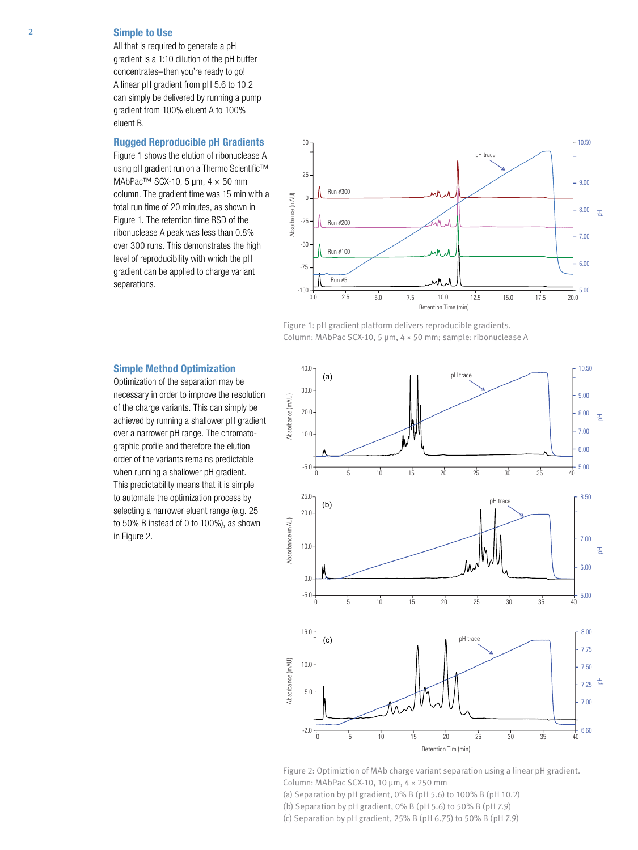# 2 Simple to Use

All that is required to generate a pH gradient is a 1:10 dilution of the pH buffer concentrates–then you're ready to go! A linear pH gradient from pH 5.6 to 10.2 can simply be delivered by running a pump gradient from 100% eluent A to 100% eluent B.

### Rugged Reproducible pH Gradients

Figure 1 shows the elution of ribonuclease A using pH gradient run on a Thermo Scientific™ MAbPac<sup>™</sup> SCX-10, 5 µm,  $4 \times 50$  mm column. The gradient time was 15 min with a total run time of 20 minutes, as shown in Figure 1. The retention time RSD of the ribonuclease A peak was less than 0.8% over 300 runs. This demonstrates the high level of reproducibility with which the pH gradient can be applied to charge variant separations.





### Simple Method Optimization

Optimization of the separation may be necessary in order to improve the resolution of the charge variants. This can simply be achieved by running a shallower pH gradient over a narrower pH range. The chromatographic profile and therefore the elution order of the variants remains predictable when running a shallower pH gradient. This predictability means that it is simple to automate the optimization process by selecting a narrower eluent range (e.g. 25 to 50% B instead of 0 to 100%), as shown in Figure 2.



Figure 2: Optimiztion of MAb charge variant separation using a linear pH gradient. Column: MAbPac SCX-10, 10 μm, 4 × 250 mm (a) Separation by pH gradient, 0% B (pH 5.6) to 100% B (pH 10.2)

(b) Separation by pH gradient, 0% B (pH 5.6) to 50% B (pH 7.9)

(c) Separation by pH gradient, 25% B (pH 6.75) to 50% B (pH 7.9)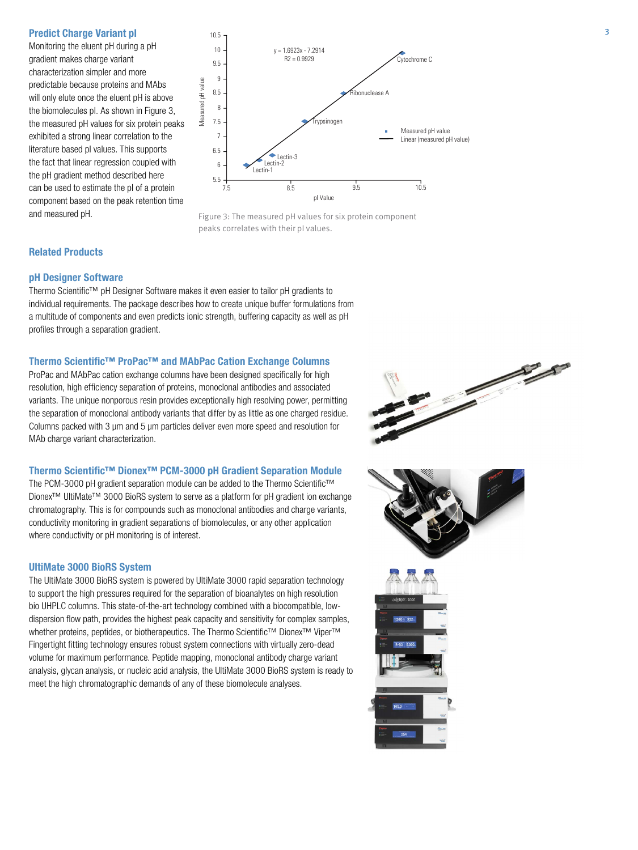Monitoring the eluent pH during a pH gradient makes charge variant characterization simpler and more predictable because proteins and MAbs will only elute once the eluent pH is above the biomolecules pI. As shown in Figure 3, the measured pH values for six protein peaks exhibited a strong linear correlation to the literature based pI values. This supports the fact that linear regression coupled with the pH gradient method described here can be used to estimate the pI of a protein component based on the peak retention time





#### Related Products

#### pH Designer Software

Thermo Scientific™ pH Designer Software makes it even easier to tailor pH gradients to individual requirements. The package describes how to create unique buffer formulations from a multitude of components and even predicts ionic strength, buffering capacity as well as pH profiles through a separation gradient.

#### Thermo Scientific™ ProPac™ and MAbPac Cation Exchange Columns

ProPac and MAbPac cation exchange columns have been designed specifically for high resolution, high efficiency separation of proteins, monoclonal antibodies and associated variants. The unique nonporous resin provides exceptionally high resolving power, permitting the separation of monoclonal antibody variants that differ by as little as one charged residue. Columns packed with 3 µm and 5 µm particles deliver even more speed and resolution for MAb charge variant characterization.

#### Thermo Scientific™ Dionex™ PCM-3000 pH Gradient Separation Module

The PCM-3000 pH gradient separation module can be added to the Thermo Scientific™ Dionex™ UltiMate™ 3000 BioRS system to serve as a platform for pH gradient ion exchange chromatography. This is for compounds such as monoclonal antibodies and charge variants, conductivity monitoring in gradient separations of biomolecules, or any other application where conductivity or pH monitoring is of interest.

## UltiMate 3000 BioRS System

The UltiMate 3000 BioRS system is powered by UltiMate 3000 rapid separation technology to support the high pressures required for the separation of bioanalytes on high resolution bio UHPLC columns. This state-of-the-art technology combined with a biocompatible, lowdispersion flow path, provides the highest peak capacity and sensitivity for complex samples, whether proteins, peptides, or biotherapeutics. The Thermo Scientific™ Dionex™ Viper™ Fingertight fitting technology ensures robust system connections with virtually zero-dead volume for maximum performance. Peptide mapping, monoclonal antibody charge variant analysis, glycan analysis, or nucleic acid analysis, the UltiMate 3000 BioRS system is ready to meet the high chromatographic demands of any of these biomolecule analyses.